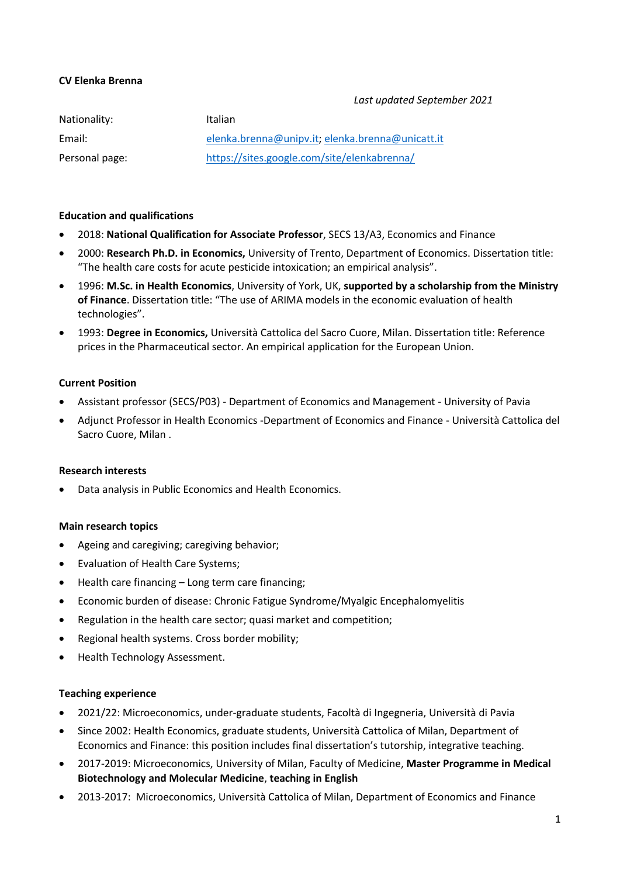### **CV Elenka Brenna**

#### *Last updated September 2021*

| Nationality:   | Italian                                          |
|----------------|--------------------------------------------------|
| Email:         | elenka.brenna@unipv.it. elenka.brenna@unicatt.it |
| Personal page: | https://sites.google.com/site/elenkabrenna/      |

#### **Education and qualifications**

- 2018: **National Qualification for Associate Professor**, SECS 13/A3, Economics and Finance
- 2000: **Research Ph.D. in Economics,** University of Trento, Department of Economics. Dissertation title: "The health care costs for acute pesticide intoxication; an empirical analysis".
- 1996: **M.Sc. in Health Economics**, University of York, UK, **supported by a scholarship from the Ministry of Finance**. Dissertation title: "The use of ARIMA models in the economic evaluation of health technologies".
- 1993: **Degree in Economics,** Università Cattolica del Sacro Cuore, Milan. Dissertation title: Reference prices in the Pharmaceutical sector. An empirical application for the European Union.

#### **Current Position**

- Assistant professor (SECS/P03) Department of Economics and Management University of Pavia
- Adjunct Professor in Health Economics -Department of Economics and Finance Università Cattolica del Sacro Cuore, Milan .

#### **Research interests**

Data analysis in Public Economics and Health Economics.

#### **Main research topics**

- Ageing and caregiving; caregiving behavior;
- Evaluation of Health Care Systems;
- Health care financing Long term care financing;
- Economic burden of disease: Chronic Fatigue Syndrome/Myalgic Encephalomyelitis
- Regulation in the health care sector; quasi market and competition;
- Regional health systems. Cross border mobility;
- Health Technology Assessment.

#### **Teaching experience**

- 2021/22: Microeconomics, under-graduate students, Facoltà di Ingegneria, Università di Pavia
- Since 2002: Health Economics, graduate students, Università Cattolica of Milan, Department of Economics and Finance: this position includes final dissertation's tutorship, integrative teaching.
- 2017-2019: Microeconomics, University of Milan, Faculty of Medicine, **Master Programme in Medical Biotechnology and Molecular Medicine**, **teaching in English**
- 2013-2017: Microeconomics, Università Cattolica of Milan, Department of Economics and Finance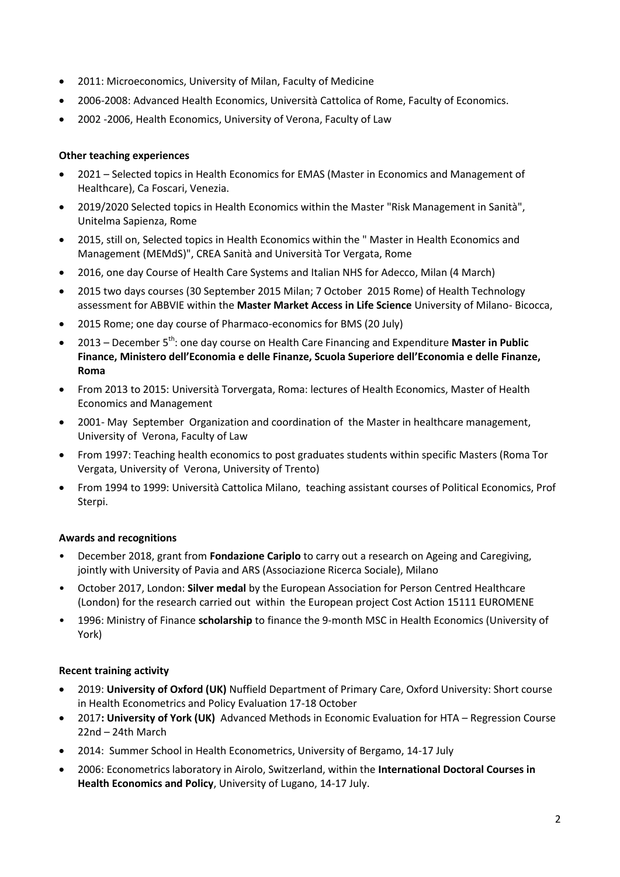- 2011: Microeconomics, University of Milan, Faculty of Medicine
- 2006-2008: Advanced Health Economics, Università Cattolica of Rome, Faculty of Economics.
- 2002 -2006, Health Economics, University of Verona, Faculty of Law

## **Other teaching experiences**

- 2021 Selected topics in Health Economics for EMAS (Master in Economics and Management of Healthcare), Ca Foscari, Venezia.
- 2019/2020 Selected topics in Health Economics within the Master "Risk Management in Sanità", Unitelma Sapienza, Rome
- 2015, still on, Selected topics in Health Economics within the " Master in Health Economics and Management (MEMdS)", CREA Sanità and Università Tor Vergata, Rome
- 2016, one day Course of Health Care Systems and Italian NHS for Adecco, Milan (4 March)
- 2015 two days courses (30 September 2015 Milan; 7 October 2015 Rome) of Health Technology assessment for ABBVIE within the **Master Market Access in Life Science** University of Milano- Bicocca,
- 2015 Rome; one day course of Pharmaco-economics for BMS (20 July)
- 2013 December 5<sup>th</sup>: one day course on Health Care Financing and Expenditure Master in Public **Finance, Ministero dell'Economia e delle Finanze, Scuola Superiore dell'Economia e delle Finanze, Roma**
- From 2013 to 2015: Università Torvergata, Roma: lectures of Health Economics, Master of Health Economics and Management
- 2001- May September Organization and coordination of the Master in healthcare management, University of Verona, Faculty of Law
- From 1997: Teaching health economics to post graduates students within specific Masters (Roma Tor Vergata, University of Verona, University of Trento)
- From 1994 to 1999: Università Cattolica Milano, teaching assistant courses of Political Economics, Prof Sterpi.

# **Awards and recognitions**

- December 2018, grant from **Fondazione Cariplo** to carry out a research on Ageing and Caregiving, jointly with University of Pavia and ARS (Associazione Ricerca Sociale), Milano
- October 2017, London: **Silver medal** by the European Association for Person Centred Healthcare (London) for the research carried out within the European project Cost Action 15111 EUROMENE
- 1996: Ministry of Finance **scholarship** to finance the 9-month MSC in Health Economics (University of York)

# **Recent training activity**

- 2019: **University of Oxford (UK)** Nuffield Department of Primary Care, Oxford University: Short course in Health Econometrics and Policy Evaluation 17-18 October
- 2017**: University of York (UK)** Advanced Methods in Economic Evaluation for HTA Regression Course 22nd – 24th March
- 2014: Summer School in Health Econometrics, University of Bergamo, 14-17 July
- 2006: Econometrics laboratory in Airolo, Switzerland, within the **International Doctoral Courses in Health Economics and Policy**, University of Lugano, 14-17 July.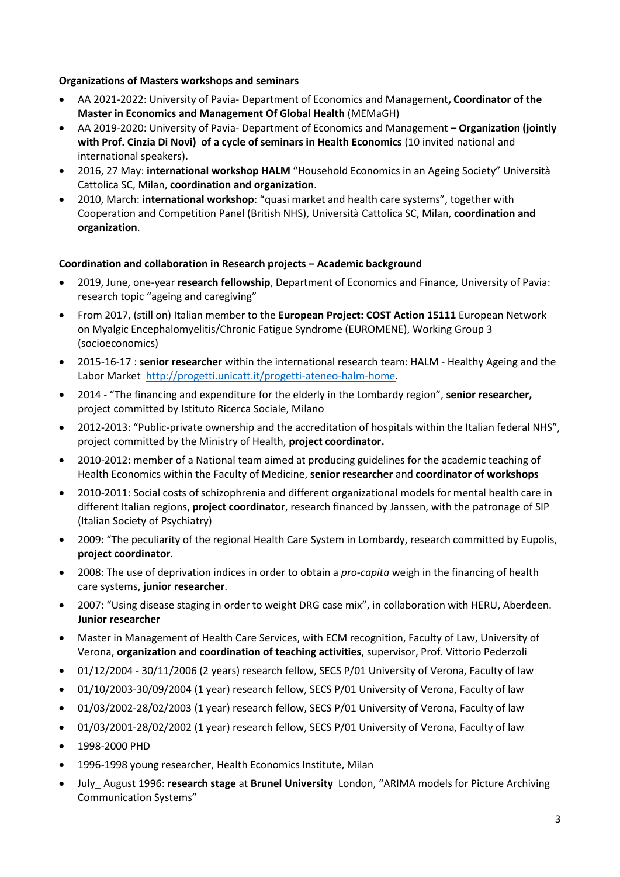## **Organizations of Masters workshops and seminars**

- AA 2021-2022: University of Pavia- Department of Economics and Management**, Coordinator of the Master in Economics and Management Of Global Health** (MEMaGH)
- AA 2019-2020: University of Pavia- Department of Economics and Management **– Organization (jointly with Prof. Cinzia Di Novi) of a cycle of seminars in Health Economics** (10 invited national and international speakers).
- 2016, 27 May: **international workshop HALM** "Household Economics in an Ageing Society" Università Cattolica SC, Milan, **coordination and organization**.
- 2010, March: **international workshop**: "quasi market and health care systems", together with Cooperation and Competition Panel (British NHS), Università Cattolica SC, Milan, **coordination and organization**.

### **Coordination and collaboration in Research projects – Academic background**

- 2019, June, one-year **research fellowship**, Department of Economics and Finance, University of Pavia: research topic "ageing and caregiving"
- From 2017, (still on) Italian member to the **European Project: COST Action 15111** European Network on Myalgic Encephalomyelitis/Chronic Fatigue Syndrome (EUROMENE), Working Group 3 (socioeconomics)
- 2015-16-17 : **senior researcher** within the international research team: HALM Healthy Ageing and the Labor Market [http://progetti.unicatt.it/progetti-ateneo-halm-home.](http://progetti.unicatt.it/progetti-ateneo-halm-home)
- 2014 "The financing and expenditure for the elderly in the Lombardy region", **senior researcher,** project committed by Istituto Ricerca Sociale, Milano
- 2012-2013: "Public-private ownership and the accreditation of hospitals within the Italian federal NHS", project committed by the Ministry of Health, **project coordinator.**
- 2010-2012: member of a National team aimed at producing guidelines for the academic teaching of Health Economics within the Faculty of Medicine, **senior researcher** and **coordinator of workshops**
- 2010-2011: Social costs of schizophrenia and different organizational models for mental health care in different Italian regions, **project coordinator**, research financed by Janssen, with the patronage of SIP (Italian Society of Psychiatry)
- 2009: "The peculiarity of the regional Health Care System in Lombardy, research committed by Eupolis, **project coordinator**.
- 2008: The use of deprivation indices in order to obtain a *pro-capita* weigh in the financing of health care systems, **junior researcher**.
- 2007: "Using disease staging in order to weight DRG case mix", in collaboration with HERU, Aberdeen. **Junior researcher**
- Master in Management of Health Care Services, with ECM recognition, Faculty of Law, University of Verona, **organization and coordination of teaching activities**, supervisor, Prof. Vittorio Pederzoli
- 01/12/2004 30/11/2006 (2 years) research fellow, SECS P/01 University of Verona, Faculty of law
- 01/10/2003-30/09/2004 (1 year) research fellow, SECS P/01 University of Verona, Faculty of law
- 01/03/2002-28/02/2003 (1 year) research fellow, SECS P/01 University of Verona, Faculty of law
- 01/03/2001-28/02/2002 (1 year) research fellow, SECS P/01 University of Verona, Faculty of law
- 1998-2000 PHD
- 1996-1998 young researcher, Health Economics Institute, Milan
- July\_ August 1996: **research stage** at **Brunel University** London, "ARIMA models for Picture Archiving Communication Systems"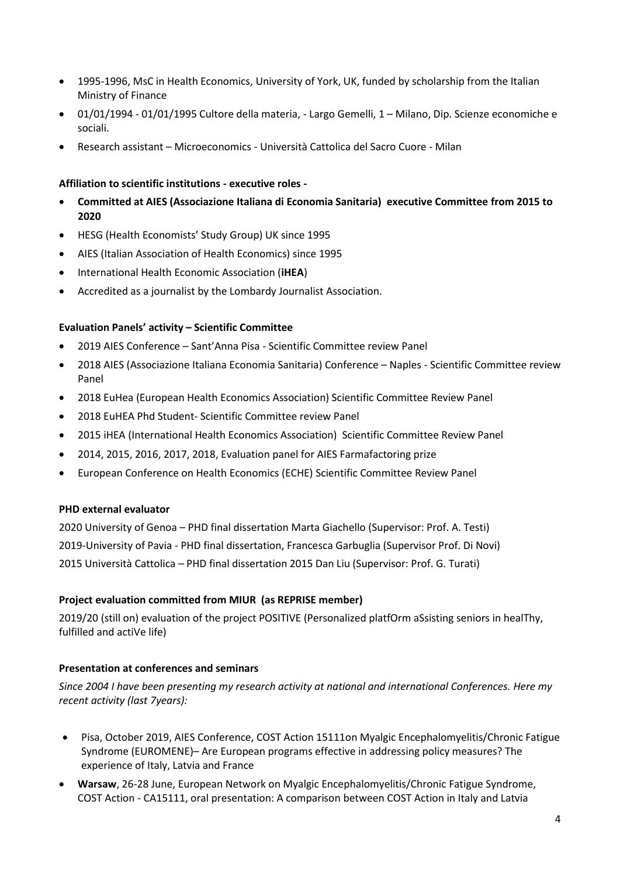- 1995-1996, MsC in Health Economics, University of York, UK, funded by scholarship from the Italian Ministry of Finance
- 01/01/1994 01/01/1995 Cultore della materia, Largo Gemelli, 1 Milano, Dip. Scienze economiche e sociali.
- Research assistant Microeconomics Università Cattolica del Sacro Cuore Milan

### **Affiliation to scientific institutions - executive roles -**

- **Committed at AIES (Associazione Italiana di Economia Sanitaria) executive Committee from 2015 to 2020**
- HESG (Health Economists' Study Group) UK since 1995
- AIES (Italian Association of Health Economics) since 1995
- International Health Economic Association (**iHEA**)
- Accredited as a journalist by the Lombardy Journalist Association.

#### **Evaluation Panels' activity – Scientific Committee**

- 2019 AIES Conference Sant'Anna Pisa Scientific Committee review Panel
- 2018 AIES (Associazione Italiana Economia Sanitaria) Conference Naples Scientific Committee review Panel
- 2018 EuHea (European Health Economics Association) Scientific Committee Review Panel
- 2018 EuHEA Phd Student- Scientific Committee review Panel
- 2015 iHEA (International Health Economics Association) Scientific Committee Review Panel
- 2014, 2015, 2016, 2017, 2018, Evaluation panel for AIES Farmafactoring prize
- European Conference on Health Economics (ECHE) Scientific Committee Review Panel

#### **PHD external evaluator**

2020 University of Genoa – PHD final dissertation Marta Giachello (Supervisor: Prof. A. Testi) 2019-University of Pavia - PHD final dissertation, Francesca Garbuglia (Supervisor Prof. Di Novi) 2015 Università Cattolica – PHD final dissertation 2015 Dan Liu (Supervisor: Prof. G. Turati)

#### **Project evaluation committed from MIUR (as REPRISE member)**

2019/20 (still on) evaluation of the project POSITIVE (Personalized platfOrm aSsisting seniors in healThy, fulfilled and actiVe life)

#### **Presentation at conferences and seminars**

*Since 2004 I have been presenting my research activity at national and international Conferences. Here my recent activity (last 7years):* 

- Pisa, October 2019, AIES Conference, COST Action 15111on Myalgic Encephalomyelitis/Chronic Fatigue Syndrome (EUROMENE)– Are European programs effective in addressing policy measures? The experience of Italy, Latvia and France
- **Warsaw**, 26-28 June, European Network on Myalgic Encephalomyelitis/Chronic Fatigue Syndrome, COST Action - CA15111, oral presentation: A comparison between COST Action in Italy and Latvia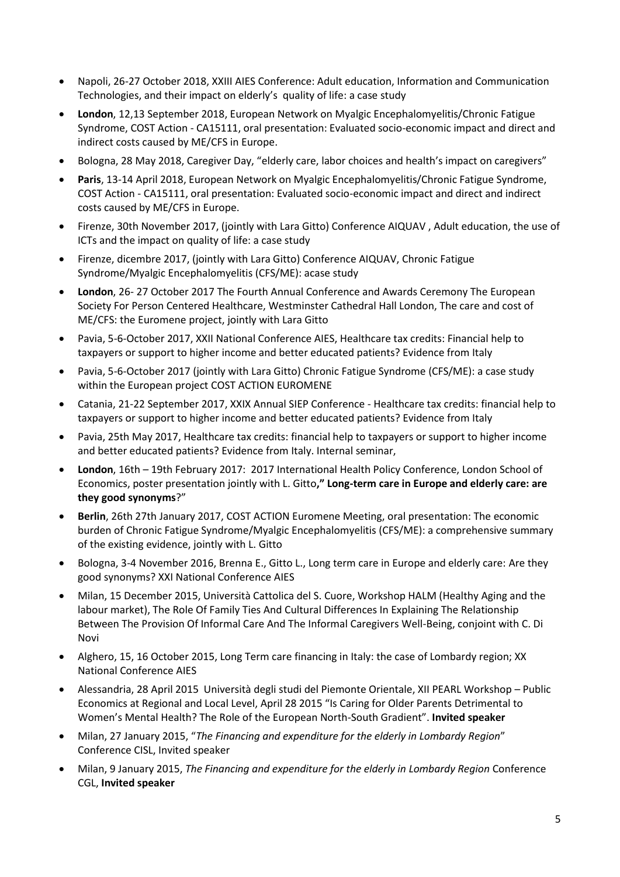- Napoli, 26-27 October 2018, XXIII AIES Conference: Adult education, Information and Communication Technologies, and their impact on elderly's quality of life: a case study
- **London**, 12,13 September 2018, European Network on Myalgic Encephalomyelitis/Chronic Fatigue Syndrome, COST Action - CA15111, oral presentation: Evaluated socio-economic impact and direct and indirect costs caused by ME/CFS in Europe.
- Bologna, 28 May 2018, Caregiver Day, "elderly care, labor choices and health's impact on caregivers"
- **Paris**, 13-14 April 2018, European Network on Myalgic Encephalomyelitis/Chronic Fatigue Syndrome, COST Action - CA15111, oral presentation: Evaluated socio-economic impact and direct and indirect costs caused by ME/CFS in Europe.
- Firenze, 30th November 2017, (jointly with Lara Gitto) Conference AIQUAV , Adult education, the use of ICTs and the impact on quality of life: a case study
- Firenze, dicembre 2017, (jointly with Lara Gitto) Conference AIQUAV, Chronic Fatigue Syndrome/Myalgic Encephalomyelitis (CFS/ME): acase study
- **London**, 26- 27 October 2017 The Fourth Annual Conference and Awards Ceremony The European Society For Person Centered Healthcare, Westminster Cathedral Hall London, The care and cost of ME/CFS: the Euromene project, jointly with Lara Gitto
- Pavia, 5-6-October 2017, XXII National Conference AIES, Healthcare tax credits: Financial help to taxpayers or support to higher income and better educated patients? Evidence from Italy
- Pavia, 5-6-October 2017 (jointly with Lara Gitto) Chronic Fatigue Syndrome (CFS/ME): a case study within the European project COST ACTION EUROMENE
- Catania, 21-22 September 2017, XXIX Annual SIEP Conference Healthcare tax credits: financial help to taxpayers or support to higher income and better educated patients? Evidence from Italy
- Pavia, 25th May 2017, Healthcare tax credits: financial help to taxpayers or support to higher income and better educated patients? Evidence from Italy. Internal seminar,
- **London**, 16th 19th February 2017: 2017 International Health Policy Conference, London School of Economics, poster presentation jointly with L. Gitto**," Long-term care in Europe and elderly care: are they good synonyms**?"
- **Berlin**, 26th 27th January 2017, COST ACTION Euromene Meeting, oral presentation: The economic burden of Chronic Fatigue Syndrome/Myalgic Encephalomyelitis (CFS/ME): a comprehensive summary of the existing evidence, jointly with L. Gitto
- Bologna, 3-4 November 2016, Brenna E., Gitto L., Long term care in Europe and elderly care: Are they good synonyms? XXI National Conference AIES
- Milan, 15 December 2015, Università Cattolica del S. Cuore, Workshop HALM (Healthy Aging and the labour market), The Role Of Family Ties And Cultural Differences In Explaining The Relationship Between The Provision Of Informal Care And The Informal Caregivers Well-Being, conjoint with C. Di Novi
- Alghero, 15, 16 October 2015, Long Term care financing in Italy: the case of Lombardy region; XX National Conference AIES
- Alessandria, 28 April 2015 Università degli studi del Piemonte Orientale, XII PEARL Workshop Public Economics at Regional and Local Level, April 28 2015 "Is Caring for Older Parents Detrimental to Women's Mental Health? The Role of the European North-South Gradient". **Invited speaker**
- Milan, 27 January 2015, "*The Financing and expenditure for the elderly in Lombardy Region*" Conference CISL, Invited speaker
- Milan, 9 January 2015, *The Financing and expenditure for the elderly in Lombardy Region* Conference CGL, **Invited speaker**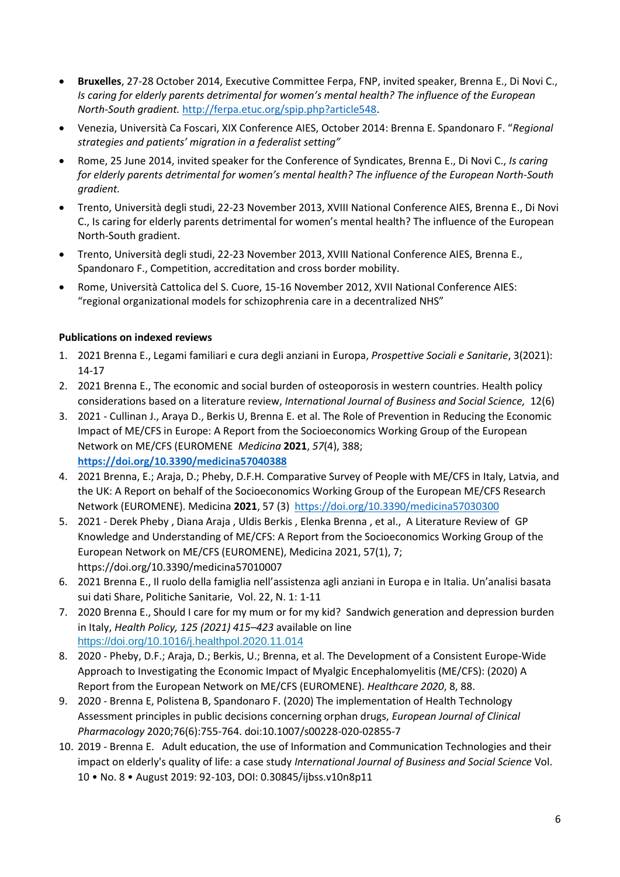- **Bruxelles**, 27-28 October 2014, Executive Committee Ferpa, FNP, invited speaker, Brenna E., Di Novi C., *Is caring for elderly parents detrimental for women's mental health? The influence of the European North-South gradient.* [http://ferpa.etuc.org/spip.php?article548.](http://ferpa.etuc.org/spip.php?article548)
- Venezia, Università Ca Foscari, XIX Conference AIES, October 2014: Brenna E. Spandonaro F. "*Regional strategies and patients' migration in a federalist setting"*
- Rome, 25 June 2014, invited speaker for the Conference of Syndicates, Brenna E., Di Novi C., *Is caring for elderly parents detrimental for women's mental health? The influence of the European North-South gradient.*
- Trento, Università degli studi, 22-23 November 2013, XVIII National Conference AIES, Brenna E., Di Novi C., Is caring for elderly parents detrimental for women's mental health? The influence of the European North-South gradient.
- Trento, Università degli studi, 22-23 November 2013, XVIII National Conference AIES, Brenna E., Spandonaro F., Competition, accreditation and cross border mobility.
- Rome, Università Cattolica del S. Cuore, 15-16 November 2012, XVII National Conference AIES: "regional organizational models for schizophrenia care in a decentralized NHS"

## **Publications on indexed reviews**

- 1. 2021 Brenna E., Legami familiari e cura degli anziani in Europa, *Prospettive Sociali e Sanitarie*, 3(2021): 14-17
- 2. 2021 Brenna E., The economic and social burden of osteoporosis in western countries. Health policy considerations based on a literature review, *International Journal of Business and Social Science,* 12(6)
- 3. 2021 Cullinan J., Araya D., Berkis U, Brenna E. et al. The Role of Prevention in Reducing the Economic Impact of ME/CFS in Europe: A Report from the Socioeconomics Working Group of the European Network on ME/CFS (EUROMENE *Medicina* **2021**, *57*(4), 388; **<https://doi.org/10.3390/medicina57040388>**
- 4. 2021 Brenna, E.; Araja, D.; Pheby, D.F.H. Comparative Survey of People with ME/CFS in Italy, Latvia, and the UK: A Report on behalf of the Socioeconomics Working Group of the European ME/CFS Research Network (EUROMENE). Medicina **2021**, 57 (3) <https://doi.org/10.3390/medicina57030300>
- 5. 2021 Derek Pheby , Diana Araja , Uldis Berkis , Elenka Brenna , et al., A Literature Review of GP Knowledge and Understanding of ME/CFS: A Report from the Socioeconomics Working Group of the European Network on ME/CFS (EUROMENE), Medicina 2021, 57(1), 7; https://doi.org/10.3390/medicina57010007
- 6. 2021 Brenna E., Il ruolo della famiglia nell'assistenza agli anziani in Europa e in Italia. Un'analisi basata sui dati Share, Politiche Sanitarie, Vol. 22, N. 1: 1-11
- 7. 2020 Brenna E., Should I care for my mum or for my kid? Sandwich generation and depression burden in Italy, *Health Policy, 125 (2021) 415–423* available on line <https://doi.org/10.1016/j.healthpol.2020.11.014>
- 8. 2020 Pheby, D.F.; Araja, D.; Berkis, U.; Brenna, et al. The Development of a Consistent Europe-Wide Approach to Investigating the Economic Impact of Myalgic Encephalomyelitis (ME/CFS): (2020) A Report from the European Network on ME/CFS (EUROMENE). *Healthcare 2020*, 8, 88.
- 9. 2020 Brenna E, Polistena B, Spandonaro F. (2020) The implementation of Health Technology Assessment principles in public decisions concerning orphan drugs, *European Journal of Clinical Pharmacology* 2020;76(6):755‐764. doi:10.1007/s00228-020-02855-7
- 10. 2019 Brenna E. Adult education, the use of Information and Communication Technologies and their impact on elderly's quality of life: a case study *International Journal of Business and Social Science* Vol. 10 • No. 8 • August 2019: 92-103, DOI: 0.30845/ijbss.v10n8p11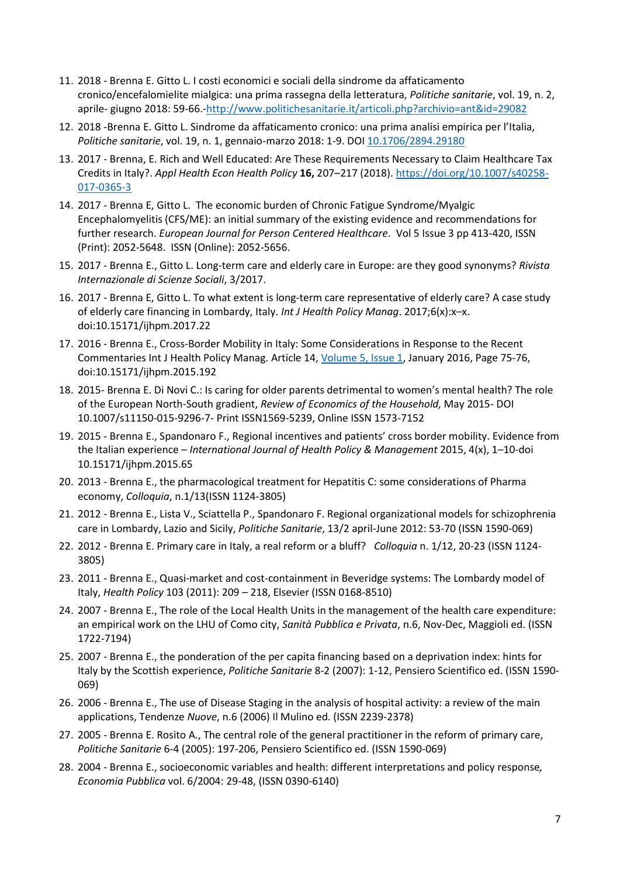- 11. 2018 Brenna E. Gitto L. I costi economici e sociali della sindrome da affaticamento cronico/encefalomielite mialgica: una prima rassegna della letteratura, *Politiche sanitarie*, vol. 19, n. 2, aprile- giugno 2018: 59-66.[-http://www.politichesanitarie.it/articoli.php?archivio=ant&id=29082](http://www.politichesanitarie.it/articoli.php?archivio=ant&id=29082)
- 12. 2018 -Brenna E. Gitto L. Sindrome da affaticamento cronico: una prima analisi empirica per l'Italia, *Politiche sanitarie*, vol. 19, n. 1, gennaio-marzo 2018: 1-9. DOI [10.1706/2894.29180](http://dx.doi.org/10.1706/2894.29180)
- 13. 2017 Brenna, E. Rich and Well Educated: Are These Requirements Necessary to Claim Healthcare Tax Credits in Italy?. *Appl Health Econ Health Policy* **16,** 207–217 (2018). [https://doi.org/10.1007/s40258-](https://doi.org/10.1007/s40258-017-0365-3) [017-0365-3](https://doi.org/10.1007/s40258-017-0365-3)
- 14. 2017 Brenna E, Gitto L. The economic burden of Chronic Fatigue Syndrome/Myalgic Encephalomyelitis (CFS/ME): an initial summary of the existing evidence and recommendations for further research. *European Journal for Person Centered Healthcare*. Vol 5 Issue 3 pp 413-420, ISSN (Print): 2052-5648. ISSN (Online): 2052-5656.
- 15. 2017 Brenna E., Gitto L. Long-term care and elderly care in Europe: are they good synonyms? *Rivista Internazionale di Scienze Sociali*, 3/2017.
- 16. 2017 Brenna E, Gitto L. To what extent is long-term care representative of elderly care? A case study of elderly care financing in Lombardy, Italy. *Int J Health Policy Manag*. 2017;6(x):x–x. doi:10.15171/ijhpm.2017.22
- 17. 2016 Brenna E., Cross-Border Mobility in Italy: Some Considerations in Response to the Recent Commentaries Int J Health Policy Manag. Article 14, [Volume 5, Issue 1,](http://www.ijhpm.com/issue_629_630_Volume+5%2C+Issue+1%2C+January+2016.html) January 2016, Page 75-76, doi:10.15171/ijhpm.2015.192
- 18. 2015- Brenna E. Di Novi C.: Is caring for older parents detrimental to women's mental health? The role of the European North-South gradient, *Review of Economics of the Household,* May 2015- DOI 10.1007/s11150-015-9296-7- Print ISSN1569-5239, Online ISSN 1573-7152
- 19. 2015 Brenna E., Spandonaro F., Regional incentives and patients' cross border mobility. Evidence from the Italian experience – *International Journal of Health Policy & Management* 2015, 4(x), 1–10-doi 10.15171/ijhpm.2015.65
- 20. 2013 Brenna E., the pharmacological treatment for Hepatitis C: some considerations of Pharma economy, *Colloquia*, n.1/13(ISSN 1124-3805)
- 21. 2012 Brenna E., Lista V., Sciattella P., Spandonaro F. Regional organizational models for schizophrenia care in Lombardy, Lazio and Sicily, *Politiche Sanitarie*, 13/2 april-June 2012: 53-70 (ISSN 1590-069)
- 22. 2012 Brenna E. Primary care in Italy, a real reform or a bluff? *Colloquia* n. 1/12, 20-23 (ISSN 1124- 3805)
- 23. 2011 Brenna E., Quasi-market and cost-containment in Beveridge systems: The Lombardy model of Italy, *Health Policy* 103 (2011): 209 – 218, Elsevier (ISSN 0168-8510)
- 24. 2007 Brenna E., The role of the Local Health Units in the management of the health care expenditure: an empirical work on the LHU of Como city, *Sanità Pubblica e Privata*, n.6, Nov-Dec, Maggioli ed. (ISSN 1722-7194)
- 25. 2007 Brenna E., the ponderation of the per capita financing based on a deprivation index: hints for Italy by the Scottish experience, *Politiche Sanitarie* 8-2 (2007): 1-12, Pensiero Scientifico ed. (ISSN 1590- 069)
- 26. 2006 Brenna E., The use of Disease Staging in the analysis of hospital activity: a review of the main applications, Tendenze *Nuove*, n.6 (2006) Il Mulino ed. (ISSN 2239-2378)
- 27. 2005 Brenna E. Rosito A., The central role of the general practitioner in the reform of primary care, *Politiche Sanitarie* 6-4 (2005): 197-206, Pensiero Scientifico ed. (ISSN 1590-069)
- 28. 2004 Brenna E., socioeconomic variables and health: different interpretations and policy response*, Economia Pubblica* vol. 6/2004: 29-48, (ISSN 0390-6140)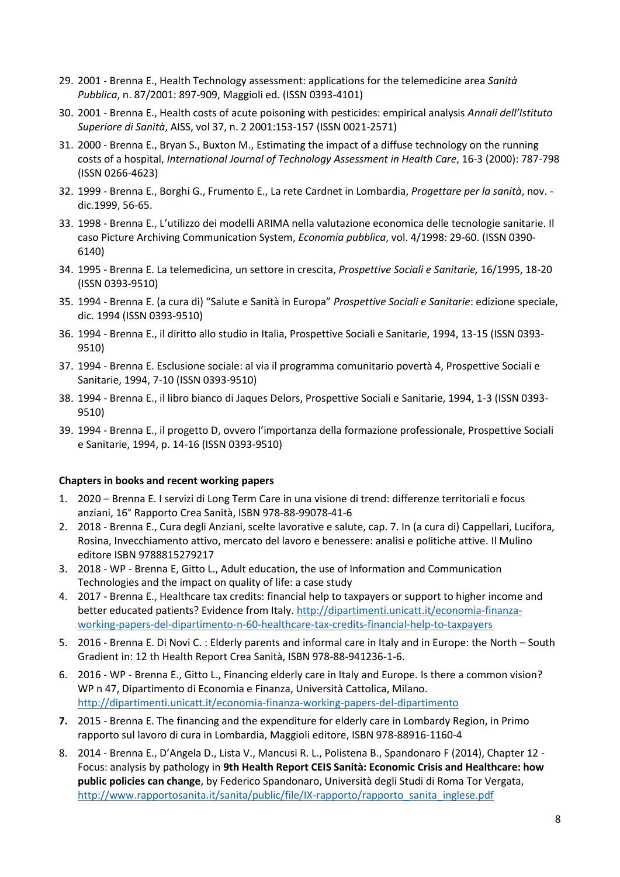- 29. 2001 Brenna E., Health Technology assessment: applications for the telemedicine area *Sanità Pubblica*, n. 87/2001: 897-909, Maggioli ed. (ISSN 0393-4101)
- 30. 2001 Brenna E., Health costs of acute poisoning with pesticides: empirical analysis *Annali dell'Istituto Superiore di Sanità*, AISS, vol 37, n. 2 2001:153-157 (ISSN 0021-2571)
- 31. 2000 Brenna E., Bryan S., Buxton M., Estimating the impact of a diffuse technology on the running costs of a hospital, *International Journal of Technology Assessment in Health Care*, 16-3 (2000): 787-798 (ISSN 0266-4623)
- 32. 1999 Brenna E., Borghi G., Frumento E., La rete Cardnet in Lombardia, *Progettare per la sanità*, nov. dic.1999, 56-65.
- 33. 1998 Brenna E., L'utilizzo dei modelli ARIMA nella valutazione economica delle tecnologie sanitarie. Il caso Picture Archiving Communication System, *Economia pubblica*, vol. 4/1998: 29-60. (ISSN 0390- 6140)
- 34. 1995 Brenna E. La telemedicina, un settore in crescita, *Prospettive Sociali e Sanitarie,* 16/1995, 18-20 (ISSN 0393-9510)
- 35. 1994 Brenna E. (a cura di) "Salute e Sanità in Europa" *Prospettive Sociali e Sanitarie*: edizione speciale, dic. 1994 (ISSN 0393-9510)
- 36. 1994 Brenna E., il diritto allo studio in Italia, Prospettive Sociali e Sanitarie, 1994, 13-15 (ISSN 0393- 9510)
- 37. 1994 Brenna E. Esclusione sociale: al via il programma comunitario povertà 4, Prospettive Sociali e Sanitarie, 1994, 7-10 (ISSN 0393-9510)
- 38. 1994 Brenna E., il libro bianco di Jaques Delors, Prospettive Sociali e Sanitarie, 1994, 1-3 (ISSN 0393- 9510)
- 39. 1994 Brenna E., il progetto D, ovvero l'importanza della formazione professionale, Prospettive Sociali e Sanitarie, 1994, p. 14-16 (ISSN 0393-9510)

## **Chapters in books and recent working papers**

- 1. 2020 Brenna E. I servizi di Long Term Care in una visione di trend: differenze territoriali e focus anziani, 16° Rapporto Crea Sanità, ISBN 978-88-99078-41-6
- 2. 2018 Brenna E., Cura degli Anziani, scelte lavorative e salute, cap. 7. In (a cura di) Cappellari, Lucifora, Rosina, Invecchiamento attivo, mercato del lavoro e benessere: analisi e politiche attive. Il Mulino editore ISBN 9788815279217
- 3. 2018 WP Brenna E, Gitto L., Adult education, the use of Information and Communication Technologies and the impact on quality of life: a case study
- 4. 2017 Brenna E., Healthcare tax credits: financial help to taxpayers or support to higher income and better educated patients? Evidence from Italy. [http://dipartimenti.unicatt.it/economia-finanza](http://dipartimenti.unicatt.it/economia-finanza-working-papers-del-dipartimento-n-60-healthcare-tax-credits-financial-help-to-taxpayers)[working-papers-del-dipartimento-n-60-healthcare-tax-credits-financial-help-to-taxpayers](http://dipartimenti.unicatt.it/economia-finanza-working-papers-del-dipartimento-n-60-healthcare-tax-credits-financial-help-to-taxpayers)
- 5. 2016 Brenna E. Di Novi C. : Elderly parents and informal care in Italy and in Europe: the North South Gradient in: 12 th Health Report Crea Sanità, ISBN 978-88-941236-1-6.
- 6. 2016 WP Brenna E., Gitto L., Financing elderly care in Italy and Europe. Is there a common vision? WP n 47, Dipartimento di Economia e Finanza, Università Cattolica, Milano. <http://dipartimenti.unicatt.it/economia-finanza-working-papers-del-dipartimento>
- **7.** 2015 Brenna E. The financing and the expenditure for elderly care in Lombardy Region, in Primo rapporto sul lavoro di cura in Lombardia, Maggioli editore, ISBN 978-88916-1160-4
- 8. 2014 Brenna E., D'Angela D., Lista V., Mancusi R. L., Polistena B., Spandonaro F (2014), Chapter 12 Focus: analysis by pathology in **9th Health Report CEIS Sanità: Economic Crisis and Healthcare: how public policies can change**, by Federico Spandonaro, Università degli Studi di Roma Tor Vergata, [http://www.rapportosanita.it/sanita/public/file/IX-rapporto/rapporto\\_sanita\\_inglese.pdf](http://www.rapportosanita.it/sanita/public/file/IX-rapporto/rapporto_sanita_inglese.pdf)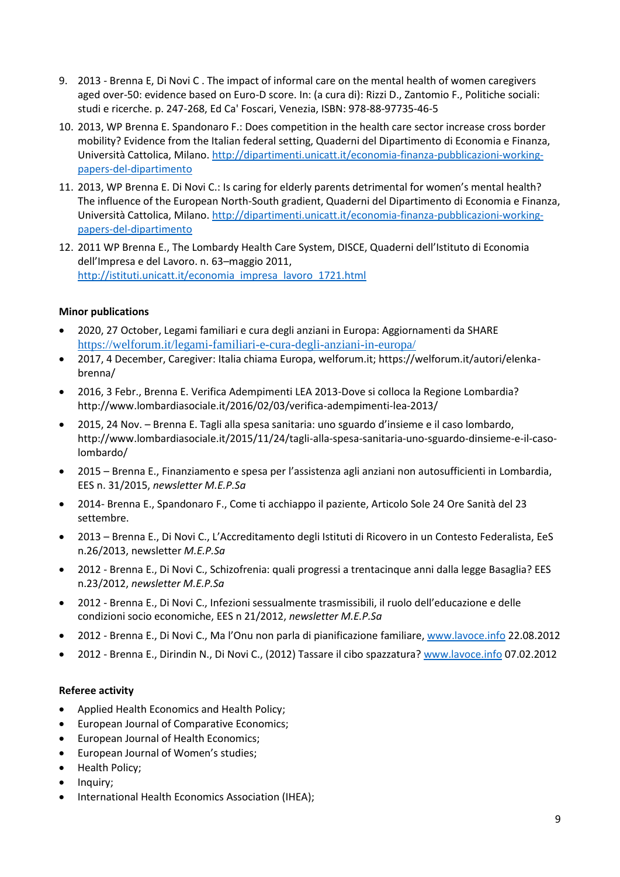- 9. 2013 Brenna E, Di Novi C . The impact of informal care on the mental health of women caregivers aged over-50: evidence based on Euro-D score. In: (a cura di): Rizzi D., Zantomio F., Politiche sociali: studi e ricerche. p. 247-268, Ed Ca' Foscari, Venezia, ISBN: 978-88-97735-46-5
- 10. 2013, WP Brenna E. Spandonaro F.: Does competition in the health care sector increase cross border mobility? Evidence from the Italian federal setting, Quaderni del Dipartimento di Economia e Finanza, Università Cattolica, Milano[. http://dipartimenti.unicatt.it/economia-finanza-pubblicazioni-working](http://dipartimenti.unicatt.it/economia-finanza-pubblicazioni-working-papers-del-dipartimento)[papers-del-dipartimento](http://dipartimenti.unicatt.it/economia-finanza-pubblicazioni-working-papers-del-dipartimento)
- 11. 2013, WP Brenna E. Di Novi C.: Is caring for elderly parents detrimental for women's mental health? The influence of the European North-South gradient, Quaderni del Dipartimento di Economia e Finanza, Università Cattolica, Milano[. http://dipartimenti.unicatt.it/economia-finanza-pubblicazioni-working](http://dipartimenti.unicatt.it/economia-finanza-pubblicazioni-working-papers-del-dipartimento)[papers-del-dipartimento](http://dipartimenti.unicatt.it/economia-finanza-pubblicazioni-working-papers-del-dipartimento)
- 12. 2011 WP Brenna E., The Lombardy Health Care System, DISCE, Quaderni dell'Istituto di Economia dell'Impresa e del Lavoro. n. 63–maggio 2011, [http://istituti.unicatt.it/economia\\_impresa\\_lavoro\\_1721.html](http://istituti.unicatt.it/economia_impresa_lavoro_1721.html)

## **Minor publications**

- 2020, 27 October, Legami familiari e cura degli anziani in Europa: Aggiornamenti da SHARE <https://welforum.it/legami-familiari-e-cura-degli-anziani-in-europa/>
- 2017, 4 December, Caregiver: Italia chiama Europa, welforum.it; https://welforum.it/autori/elenkabrenna/
- 2016, 3 Febr., Brenna E. Verifica Adempimenti LEA 2013-Dove si colloca la Regione Lombardia? http://www.lombardiasociale.it/2016/02/03/verifica-adempimenti-lea-2013/
- 2015, 24 Nov. Brenna E. Tagli alla spesa sanitaria: uno sguardo d'insieme e il caso lombardo, http://www.lombardiasociale.it/2015/11/24/tagli-alla-spesa-sanitaria-uno-sguardo-dinsieme-e-il-casolombardo/
- 2015 Brenna E., Finanziamento e spesa per l'assistenza agli anziani non autosufficienti in Lombardia, EES n. 31/2015, *newsletter M.E.P.Sa*
- 2014- Brenna E., Spandonaro F., Come ti acchiappo il paziente, Articolo Sole 24 Ore Sanità del 23 settembre.
- 2013 Brenna E., Di Novi C., L'Accreditamento degli Istituti di Ricovero in un Contesto Federalista, EeS n.26/2013, newsletter *M.E.P.Sa*
- 2012 Brenna E., Di Novi C., Schizofrenia: quali progressi a trentacinque anni dalla legge Basaglia? EES n.23/2012, *newsletter M.E.P.Sa*
- 2012 Brenna E., Di Novi C., Infezioni sessualmente trasmissibili, il ruolo dell'educazione e delle condizioni socio economiche, EES n 21/2012, *newsletter M.E.P.Sa*
- 2012 Brenna E., Di Novi C., Ma l'Onu non parla di pianificazione familiare, [www.lavoce.info](http://www.lavoce.info/) 22.08.2012
- 2012 Brenna E., Dirindin N., Di Novi C., (2012) Tassare il cibo spazzatura? [www.lavoce.info](http://www.lavoce.info/) 07.02.2012

## **Referee activity**

- Applied Health Economics and Health Policy;
- European Journal of Comparative Economics;
- European Journal of Health Economics;
- European Journal of Women's studies;
- Health Policy;
- Inquiry;
- International Health Economics Association (IHEA);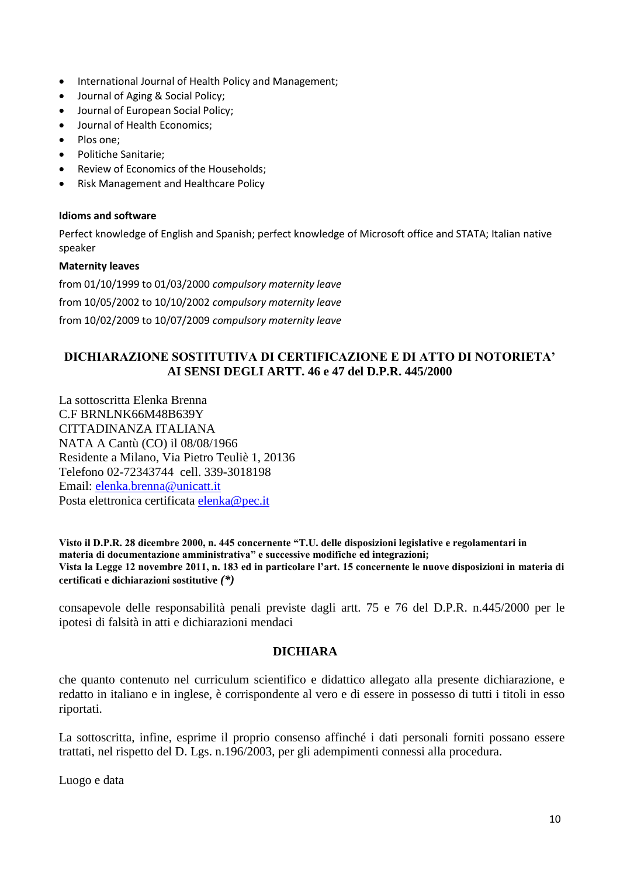- International Journal of Health Policy and Management;
- Journal of Aging & Social Policy;
- Journal of European Social Policy;
- Journal of Health Economics;
- Plos one;
- Politiche Sanitarie;
- Review of Economics of the Households;
- Risk Management and Healthcare Policy

#### **Idioms and software**

Perfect knowledge of English and Spanish; perfect knowledge of Microsoft office and STATA; Italian native speaker

#### **Maternity leaves**

from 01/10/1999 to 01/03/2000 *compulsory maternity leave* from 10/05/2002 to 10/10/2002 *compulsory maternity leave* from 10/02/2009 to 10/07/2009 *compulsory maternity leave*

## **DICHIARAZIONE SOSTITUTIVA DI CERTIFICAZIONE E DI ATTO DI NOTORIETA' AI SENSI DEGLI ARTT. 46 e 47 del D.P.R. 445/2000**

La sottoscritta Elenka Brenna C.F BRNLNK66M48B639Y CITTADINANZA ITALIANA NATA A Cantù (CO) il 08/08/1966 Residente a Milano, Via Pietro Teuliè 1, 20136 Telefono 02-72343744 cell. 339-3018198 Email: [elenka.brenna@unicatt.it](mailto:elenka.brenna@unicatt.it) Posta elettronica certificata [elenka@pec.it](mailto:elenka@pec.it)

**Visto il D.P.R. 28 dicembre 2000, n. 445 concernente "T.U. delle disposizioni legislative e regolamentari in materia di documentazione amministrativa" e successive modifiche ed integrazioni; Vista la Legge 12 novembre 2011, n. 183 ed in particolare l'art. 15 concernente le nuove disposizioni in materia di certificati e dichiarazioni sostitutive** *(\*)*

consapevole delle responsabilità penali previste dagli artt. 75 e 76 del D.P.R. n.445/2000 per le ipotesi di falsità in atti e dichiarazioni mendaci

## **DICHIARA**

che quanto contenuto nel curriculum scientifico e didattico allegato alla presente dichiarazione, e redatto in italiano e in inglese, è corrispondente al vero e di essere in possesso di tutti i titoli in esso riportati.

La sottoscritta, infine, esprime il proprio consenso affinché i dati personali forniti possano essere trattati, nel rispetto del D. Lgs. n.196/2003, per gli adempimenti connessi alla procedura.

Luogo e data